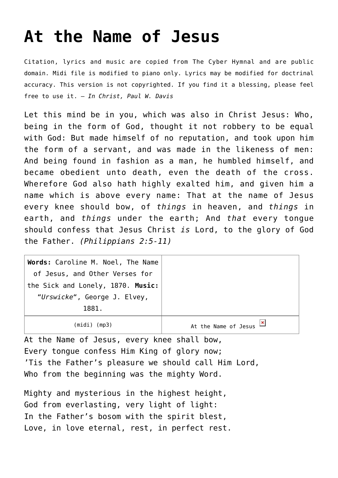## **[At the Name of Jesus](http://reproachofmen.org/hymns-and-music/at-the-name-of-jesus/)**

Citation, lyrics and music are copied from [The Cyber Hymnal](http://www.hymntime.com/tch/) and are public domain. Midi file is modified to piano only. Lyrics may be modified for doctrinal accuracy. This version is not copyrighted. If you find it a blessing, please feel free to use it. — *In Christ, Paul W. Davis*

Let this mind be in you, which was also in Christ Jesus: Who, being in the form of God, thought it not robbery to be equal with God: But made himself of no reputation, and took upon him the form of a servant, and was made in the likeness of men: And being found in fashion as a man, he humbled himself, and became obedient unto death, even the death of the cross. Wherefore God also hath highly exalted him, and given him a name which is above every name: That at the name of Jesus every knee should bow, of *things* in heaven, and *things* in earth, and *things* under the earth; And *that* every tongue should confess that Jesus Christ *is* Lord, to the glory of God the Father. *(Philippians 2:5-11)*

| Words: Caroline M. Noel, The Name |                                                      |
|-----------------------------------|------------------------------------------------------|
| of Jesus, and Other Verses for    |                                                      |
| the Sick and Lonely, 1870. Music: |                                                      |
| "Urswicke", George J. Elvey,      |                                                      |
| 1881.                             |                                                      |
| (midi) (mp3)                      | At the Name of Jesus $\frac{\mathbf{x}}{\mathbf{x}}$ |

At the Name of Jesus, every knee shall bow, Every tongue confess Him King of glory now; 'Tis the Father's pleasure we should call Him Lord, Who from the beginning was the mighty Word.

Mighty and mysterious in the highest height, God from everlasting, very light of light: In the Father's bosom with the spirit blest, Love, in love eternal, rest, in perfect rest.